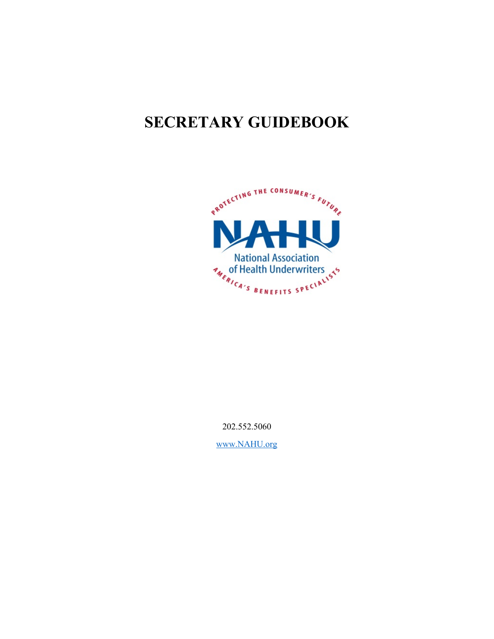# **SECRETARY GUIDEBOOK**



202.552.5060

[www.NAHU.org](http://www.nahu.org/)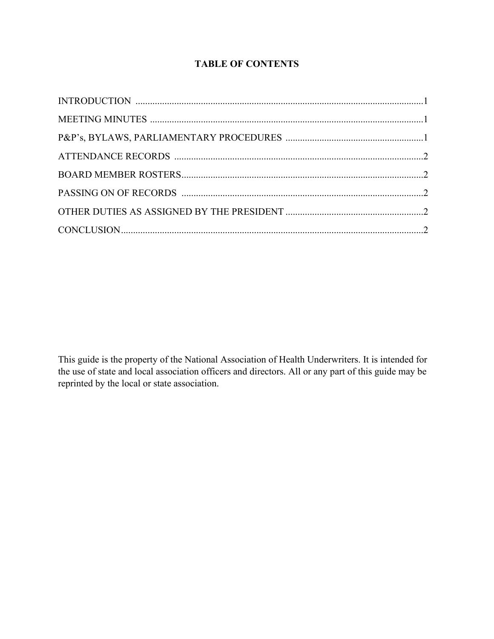## **TABLE OF CONTENTS**

This guide is the property of the National Association of Health Underwriters. It is intended for the use of state and local association officers and directors. All or any part of this guide may be reprinted by the local or state association.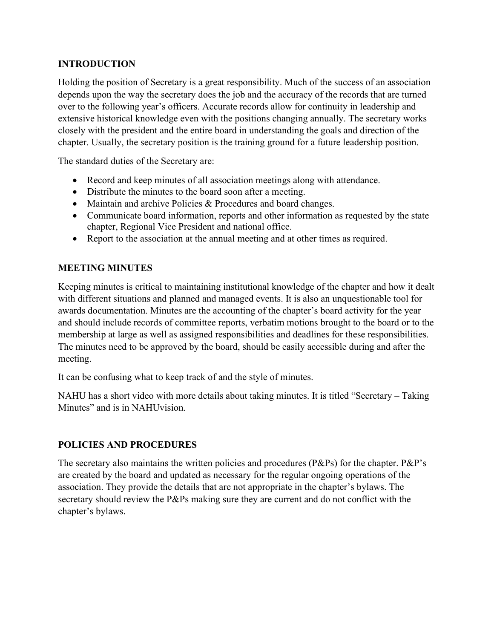## **INTRODUCTION**

Holding the position of Secretary is a great responsibility. Much of the success of an association depends upon the way the secretary does the job and the accuracy of the records that are turned over to the following year's officers. Accurate records allow for continuity in leadership and extensive historical knowledge even with the positions changing annually. The secretary works closely with the president and the entire board in understanding the goals and direction of the chapter. Usually, the secretary position is the training ground for a future leadership position.

The standard duties of the Secretary are:

- Record and keep minutes of all association meetings along with attendance.
- Distribute the minutes to the board soon after a meeting.
- Maintain and archive Policies & Procedures and board changes.
- Communicate board information, reports and other information as requested by the state chapter, Regional Vice President and national office.
- Report to the association at the annual meeting and at other times as required.

#### **MEETING MINUTES**

Keeping minutes is critical to maintaining institutional knowledge of the chapter and how it dealt with different situations and planned and managed events. It is also an unquestionable tool for awards documentation. Minutes are the accounting of the chapter's board activity for the year and should include records of committee reports, verbatim motions brought to the board or to the membership at large as well as assigned responsibilities and deadlines for these responsibilities. The minutes need to be approved by the board, should be easily accessible during and after the meeting.

It can be confusing what to keep track of and the style of minutes.

NAHU has a short video with more details about taking minutes. It is titled "Secretary – Taking Minutes" and is in NAHUvision.

#### **POLICIES AND PROCEDURES**

The secretary also maintains the written policies and procedures (P&Ps) for the chapter. P&P's are created by the board and updated as necessary for the regular ongoing operations of the association. They provide the details that are not appropriate in the chapter's bylaws. The secretary should review the P&Ps making sure they are current and do not conflict with the chapter's bylaws.